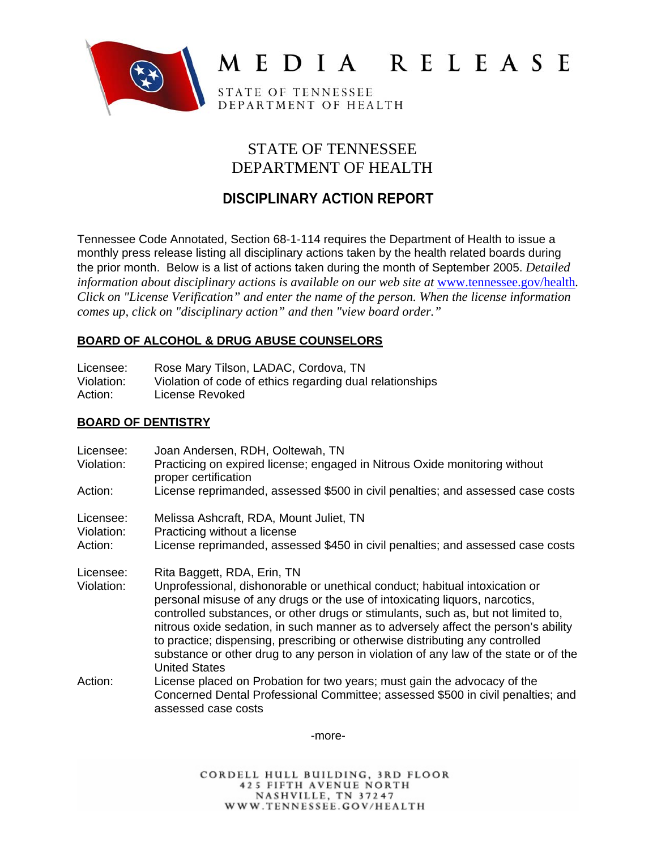

# MEDIA RELEASE

STATE OF TENNESSEE DEPARTMENT OF HEALTH

## STATE OF TENNESSEE DEPARTMENT OF HEALTH

# **DISCIPLINARY ACTION REPORT**

Tennessee Code Annotated, Section 68-1-114 requires the Department of Health to issue a monthly press release listing all disciplinary actions taken by the health related boards during the prior month. Below is a list of actions taken during the month of September 2005. *Detailed information about disciplinary actions is available on our web site at <u>www.tennessee.gov/health</u>. Click on "License Verification" and enter the name of the person. When the license information comes up, click on "disciplinary action" and then "view board order."* 

## **BOARD OF ALCOHOL & DRUG ABUSE COUNSELORS**

| Licensee:<br>Violation:<br>Action: | Rose Mary Tilson, LADAC, Cordova, TN<br>Violation of code of ethics regarding dual relationships<br>License Revoked                                                                                                                                                                                                                                                                                                                                                                                                                                                   |
|------------------------------------|-----------------------------------------------------------------------------------------------------------------------------------------------------------------------------------------------------------------------------------------------------------------------------------------------------------------------------------------------------------------------------------------------------------------------------------------------------------------------------------------------------------------------------------------------------------------------|
| <b>BOARD OF DENTISTRY</b>          |                                                                                                                                                                                                                                                                                                                                                                                                                                                                                                                                                                       |
| Licensee:<br>Violation:            | Joan Andersen, RDH, Ooltewah, TN<br>Practicing on expired license; engaged in Nitrous Oxide monitoring without<br>proper certification                                                                                                                                                                                                                                                                                                                                                                                                                                |
| Action:                            | License reprimanded, assessed \$500 in civil penalties; and assessed case costs                                                                                                                                                                                                                                                                                                                                                                                                                                                                                       |
| Licensee:<br>Violation:<br>Action: | Melissa Ashcraft, RDA, Mount Juliet, TN<br>Practicing without a license<br>License reprimanded, assessed \$450 in civil penalties; and assessed case costs                                                                                                                                                                                                                                                                                                                                                                                                            |
| Licensee:<br>Violation:            | Rita Baggett, RDA, Erin, TN<br>Unprofessional, dishonorable or unethical conduct; habitual intoxication or<br>personal misuse of any drugs or the use of intoxicating liquors, narcotics,<br>controlled substances, or other drugs or stimulants, such as, but not limited to,<br>nitrous oxide sedation, in such manner as to adversely affect the person's ability<br>to practice; dispensing, prescribing or otherwise distributing any controlled<br>substance or other drug to any person in violation of any law of the state or of the<br><b>United States</b> |
| Action:                            | License placed on Probation for two years; must gain the advocacy of the<br>Concerned Dental Professional Committee; assessed \$500 in civil penalties; and<br>assessed case costs                                                                                                                                                                                                                                                                                                                                                                                    |

-more-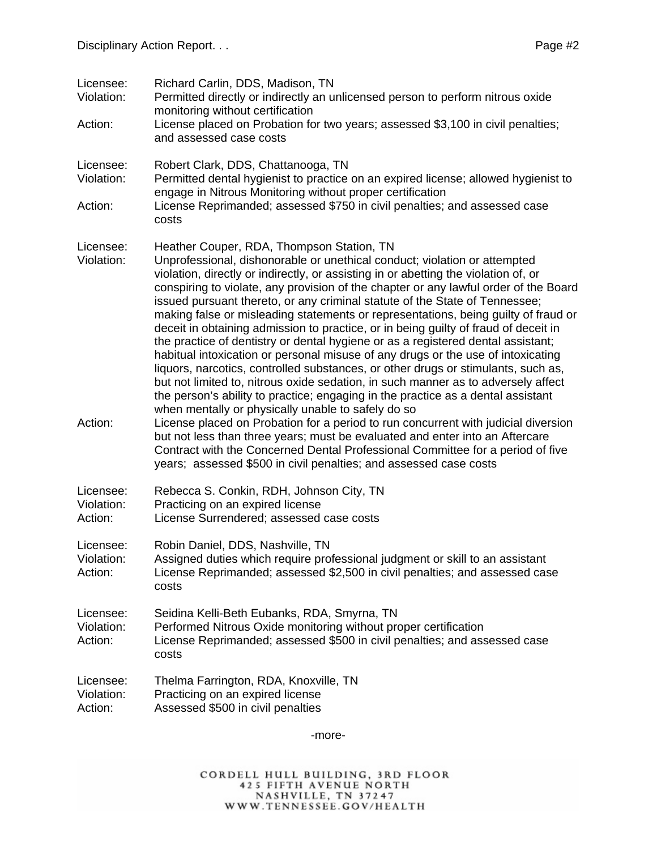| Licensee:<br>Violation:<br>Action: | Richard Carlin, DDS, Madison, TN<br>Permitted directly or indirectly an unlicensed person to perform nitrous oxide<br>monitoring without certification<br>License placed on Probation for two years; assessed \$3,100 in civil penalties;<br>and assessed case costs                                                                                                                                                                                                                                                                                                                                                                                                                                                                                                                                                                                                                                                                                                                                                                                                                                                                                                                                                                                                                                                  |
|------------------------------------|-----------------------------------------------------------------------------------------------------------------------------------------------------------------------------------------------------------------------------------------------------------------------------------------------------------------------------------------------------------------------------------------------------------------------------------------------------------------------------------------------------------------------------------------------------------------------------------------------------------------------------------------------------------------------------------------------------------------------------------------------------------------------------------------------------------------------------------------------------------------------------------------------------------------------------------------------------------------------------------------------------------------------------------------------------------------------------------------------------------------------------------------------------------------------------------------------------------------------------------------------------------------------------------------------------------------------|
| Licensee:<br>Violation:            | Robert Clark, DDS, Chattanooga, TN<br>Permitted dental hygienist to practice on an expired license; allowed hygienist to<br>engage in Nitrous Monitoring without proper certification                                                                                                                                                                                                                                                                                                                                                                                                                                                                                                                                                                                                                                                                                                                                                                                                                                                                                                                                                                                                                                                                                                                                 |
| Action:                            | License Reprimanded; assessed \$750 in civil penalties; and assessed case<br>costs                                                                                                                                                                                                                                                                                                                                                                                                                                                                                                                                                                                                                                                                                                                                                                                                                                                                                                                                                                                                                                                                                                                                                                                                                                    |
| Licensee:<br>Violation:<br>Action: | Heather Couper, RDA, Thompson Station, TN<br>Unprofessional, dishonorable or unethical conduct; violation or attempted<br>violation, directly or indirectly, or assisting in or abetting the violation of, or<br>conspiring to violate, any provision of the chapter or any lawful order of the Board<br>issued pursuant thereto, or any criminal statute of the State of Tennessee;<br>making false or misleading statements or representations, being guilty of fraud or<br>deceit in obtaining admission to practice, or in being guilty of fraud of deceit in<br>the practice of dentistry or dental hygiene or as a registered dental assistant;<br>habitual intoxication or personal misuse of any drugs or the use of intoxicating<br>liquors, narcotics, controlled substances, or other drugs or stimulants, such as,<br>but not limited to, nitrous oxide sedation, in such manner as to adversely affect<br>the person's ability to practice; engaging in the practice as a dental assistant<br>when mentally or physically unable to safely do so<br>License placed on Probation for a period to run concurrent with judicial diversion<br>but not less than three years; must be evaluated and enter into an Aftercare<br>Contract with the Concerned Dental Professional Committee for a period of five |
|                                    | years; assessed \$500 in civil penalties; and assessed case costs                                                                                                                                                                                                                                                                                                                                                                                                                                                                                                                                                                                                                                                                                                                                                                                                                                                                                                                                                                                                                                                                                                                                                                                                                                                     |
| Licensee:<br>Violation:<br>Action: | Rebecca S. Conkin, RDH, Johnson City, TN<br>Practicing on an expired license<br>License Surrendered; assessed case costs                                                                                                                                                                                                                                                                                                                                                                                                                                                                                                                                                                                                                                                                                                                                                                                                                                                                                                                                                                                                                                                                                                                                                                                              |
| Licensee:<br>Violation:<br>Action: | Robin Daniel, DDS, Nashville, TN<br>Assigned duties which require professional judgment or skill to an assistant<br>License Reprimanded; assessed \$2,500 in civil penalties; and assessed case<br>costs                                                                                                                                                                                                                                                                                                                                                                                                                                                                                                                                                                                                                                                                                                                                                                                                                                                                                                                                                                                                                                                                                                              |
| Licensee:<br>Violation:<br>Action: | Seidina Kelli-Beth Eubanks, RDA, Smyrna, TN<br>Performed Nitrous Oxide monitoring without proper certification<br>License Reprimanded; assessed \$500 in civil penalties; and assessed case<br>costs                                                                                                                                                                                                                                                                                                                                                                                                                                                                                                                                                                                                                                                                                                                                                                                                                                                                                                                                                                                                                                                                                                                  |
| Licensee:<br>Violation:<br>Action: | Thelma Farrington, RDA, Knoxville, TN<br>Practicing on an expired license<br>Assessed \$500 in civil penalties                                                                                                                                                                                                                                                                                                                                                                                                                                                                                                                                                                                                                                                                                                                                                                                                                                                                                                                                                                                                                                                                                                                                                                                                        |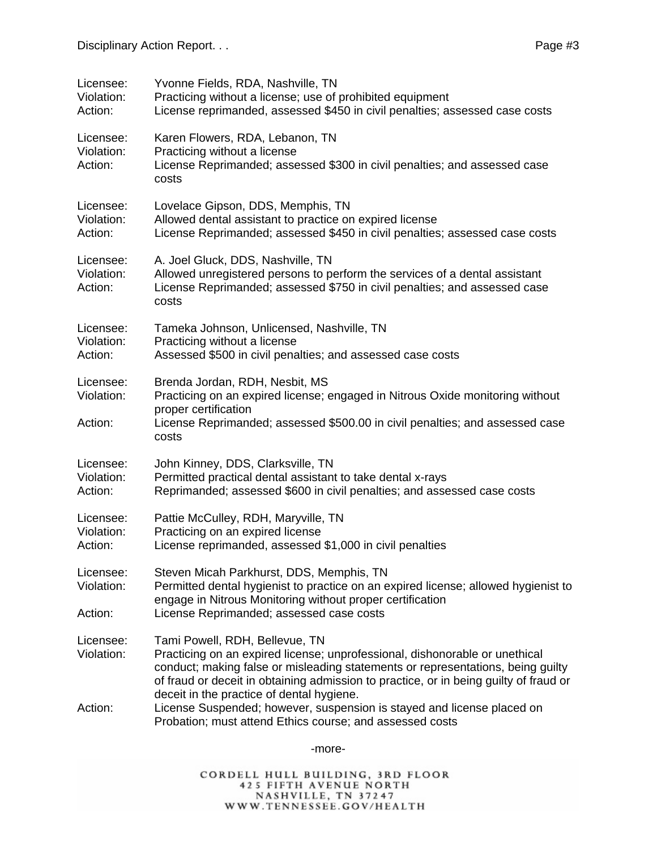| Licensee:<br>Violation:<br>Action: | Yvonne Fields, RDA, Nashville, TN<br>Practicing without a license; use of prohibited equipment<br>License reprimanded, assessed \$450 in civil penalties; assessed case costs                                                                                                                                                          |
|------------------------------------|----------------------------------------------------------------------------------------------------------------------------------------------------------------------------------------------------------------------------------------------------------------------------------------------------------------------------------------|
| Licensee:<br>Violation:<br>Action: | Karen Flowers, RDA, Lebanon, TN<br>Practicing without a license<br>License Reprimanded; assessed \$300 in civil penalties; and assessed case<br>costs                                                                                                                                                                                  |
| Licensee:<br>Violation:<br>Action: | Lovelace Gipson, DDS, Memphis, TN<br>Allowed dental assistant to practice on expired license<br>License Reprimanded; assessed \$450 in civil penalties; assessed case costs                                                                                                                                                            |
| Licensee:<br>Violation:<br>Action: | A. Joel Gluck, DDS, Nashville, TN<br>Allowed unregistered persons to perform the services of a dental assistant<br>License Reprimanded; assessed \$750 in civil penalties; and assessed case<br>costs                                                                                                                                  |
| Licensee:<br>Violation:<br>Action: | Tameka Johnson, Unlicensed, Nashville, TN<br>Practicing without a license<br>Assessed \$500 in civil penalties; and assessed case costs                                                                                                                                                                                                |
| Licensee:<br>Violation:<br>Action: | Brenda Jordan, RDH, Nesbit, MS<br>Practicing on an expired license; engaged in Nitrous Oxide monitoring without<br>proper certification<br>License Reprimanded; assessed \$500.00 in civil penalties; and assessed case<br>costs                                                                                                       |
| Licensee:<br>Violation:<br>Action: | John Kinney, DDS, Clarksville, TN<br>Permitted practical dental assistant to take dental x-rays<br>Reprimanded; assessed \$600 in civil penalties; and assessed case costs                                                                                                                                                             |
| Licensee:<br>Violation:<br>Action: | Pattie McCulley, RDH, Maryville, TN<br>Practicing on an expired license<br>License reprimanded, assessed \$1,000 in civil penalties                                                                                                                                                                                                    |
| Licensee:<br>Violation:<br>Action: | Steven Micah Parkhurst, DDS, Memphis, TN<br>Permitted dental hygienist to practice on an expired license; allowed hygienist to<br>engage in Nitrous Monitoring without proper certification<br>License Reprimanded; assessed case costs                                                                                                |
| Licensee:<br>Violation:            | Tami Powell, RDH, Bellevue, TN<br>Practicing on an expired license; unprofessional, dishonorable or unethical<br>conduct; making false or misleading statements or representations, being guilty<br>of fraud or deceit in obtaining admission to practice, or in being guilty of fraud or<br>deceit in the practice of dental hygiene. |
| Action:                            | License Suspended; however, suspension is stayed and license placed on<br>Probation; must attend Ethics course; and assessed costs                                                                                                                                                                                                     |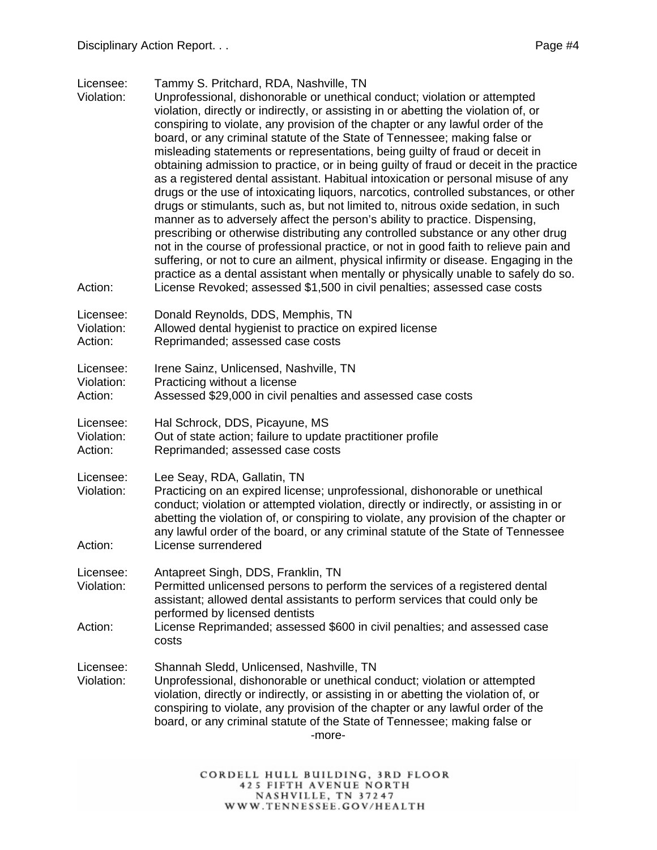Licensee: Tammy S. Pritchard, RDA, Nashville, TN

- Violation: Unprofessional, dishonorable or unethical conduct; violation or attempted violation, directly or indirectly, or assisting in or abetting the violation of, or conspiring to violate, any provision of the chapter or any lawful order of the board, or any criminal statute of the State of Tennessee; making false or misleading statements or representations, being guilty of fraud or deceit in obtaining admission to practice, or in being guilty of fraud or deceit in the practice as a registered dental assistant. Habitual intoxication or personal misuse of any drugs or the use of intoxicating liquors, narcotics, controlled substances, or other drugs or stimulants, such as, but not limited to, nitrous oxide sedation, in such manner as to adversely affect the person's ability to practice. Dispensing, prescribing or otherwise distributing any controlled substance or any other drug not in the course of professional practice, or not in good faith to relieve pain and suffering, or not to cure an ailment, physical infirmity or disease. Engaging in the practice as a dental assistant when mentally or physically unable to safely do so. Action: License Revoked; assessed \$1,500 in civil penalties; assessed case costs
- Licensee: Donald Reynolds, DDS, Memphis, TN Violation: Allowed dental hygienist to practice on expired license
- Action: Reprimanded; assessed case costs

| Licensee: | Irene Sainz, Unlicensed, Nashville, TN |  |
|-----------|----------------------------------------|--|
|           |                                        |  |

Violation: Practicing without a license

Action: Assessed \$29,000 in civil penalties and assessed case costs

- Licensee: Hal Schrock, DDS, Picayune, MS
- Violation: Out of state action; failure to update practitioner profile
- Action: Reprimanded; assessed case costs
- Licensee: Lee Seay, RDA, Gallatin, TN
- Violation: Practicing on an expired license; unprofessional, dishonorable or unethical conduct; violation or attempted violation, directly or indirectly, or assisting in or abetting the violation of, or conspiring to violate, any provision of the chapter or any lawful order of the board, or any criminal statute of the State of Tennessee Action: License surrendered
- Licensee: Antapreet Singh, DDS, Franklin, TN
- Violation: Permitted unlicensed persons to perform the services of a registered dental assistant; allowed dental assistants to perform services that could only be performed by licensed dentists
- Action: License Reprimanded; assessed \$600 in civil penalties; and assessed case costs
- Licensee: Shannah Sledd, Unlicensed, Nashville, TN
- Violation: Unprofessional, dishonorable or unethical conduct; violation or attempted violation, directly or indirectly, or assisting in or abetting the violation of, or conspiring to violate, any provision of the chapter or any lawful order of the board, or any criminal statute of the State of Tennessee; making false or -more-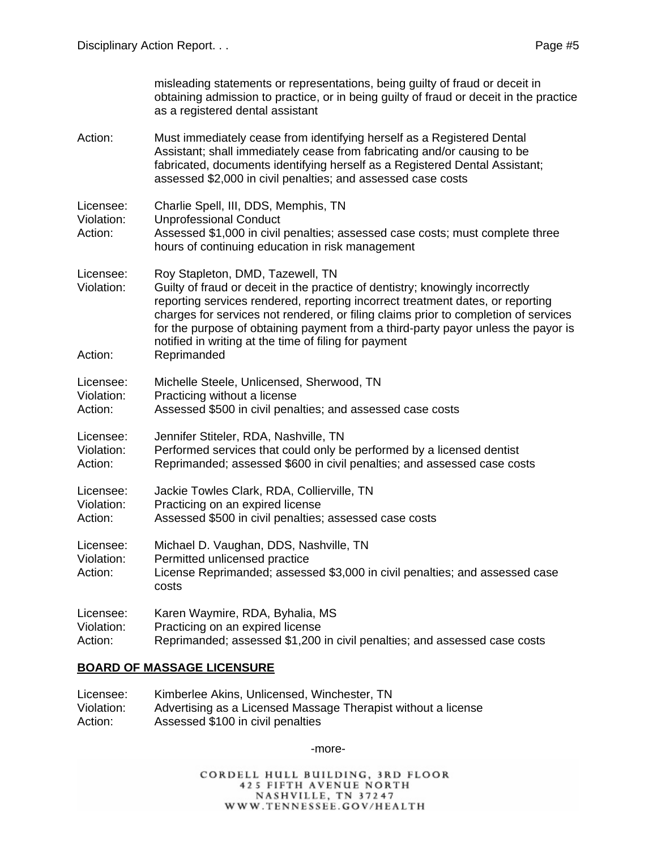|                                    | misleading statements or representations, being guilty of fraud or deceit in<br>obtaining admission to practice, or in being guilty of fraud or deceit in the practice<br>as a registered dental assistant                                                                                                                                                                                                                                              |
|------------------------------------|---------------------------------------------------------------------------------------------------------------------------------------------------------------------------------------------------------------------------------------------------------------------------------------------------------------------------------------------------------------------------------------------------------------------------------------------------------|
| Action:                            | Must immediately cease from identifying herself as a Registered Dental<br>Assistant; shall immediately cease from fabricating and/or causing to be<br>fabricated, documents identifying herself as a Registered Dental Assistant;<br>assessed \$2,000 in civil penalties; and assessed case costs                                                                                                                                                       |
| Licensee:<br>Violation:<br>Action: | Charlie Spell, III, DDS, Memphis, TN<br><b>Unprofessional Conduct</b><br>Assessed \$1,000 in civil penalties; assessed case costs; must complete three<br>hours of continuing education in risk management                                                                                                                                                                                                                                              |
| Licensee:<br>Violation:<br>Action: | Roy Stapleton, DMD, Tazewell, TN<br>Guilty of fraud or deceit in the practice of dentistry; knowingly incorrectly<br>reporting services rendered, reporting incorrect treatment dates, or reporting<br>charges for services not rendered, or filing claims prior to completion of services<br>for the purpose of obtaining payment from a third-party payor unless the payor is<br>notified in writing at the time of filing for payment<br>Reprimanded |
| Licensee:<br>Violation:<br>Action: | Michelle Steele, Unlicensed, Sherwood, TN<br>Practicing without a license<br>Assessed \$500 in civil penalties; and assessed case costs                                                                                                                                                                                                                                                                                                                 |
| Licensee:<br>Violation:<br>Action: | Jennifer Stiteler, RDA, Nashville, TN<br>Performed services that could only be performed by a licensed dentist<br>Reprimanded; assessed \$600 in civil penalties; and assessed case costs                                                                                                                                                                                                                                                               |
| Licensee:<br>Violation:<br>Action: | Jackie Towles Clark, RDA, Collierville, TN<br>Practicing on an expired license<br>Assessed \$500 in civil penalties; assessed case costs                                                                                                                                                                                                                                                                                                                |
| Licensee:<br>Violation:<br>Action: | Michael D. Vaughan, DDS, Nashville, TN<br>Permitted unlicensed practice<br>License Reprimanded; assessed \$3,000 in civil penalties; and assessed case<br>costs                                                                                                                                                                                                                                                                                         |
| Licensee:<br>Violation:<br>Action: | Karen Waymire, RDA, Byhalia, MS<br>Practicing on an expired license<br>Reprimanded; assessed \$1,200 in civil penalties; and assessed case costs                                                                                                                                                                                                                                                                                                        |

### **BOARD OF MASSAGE LICENSURE**

| Licensee:  | Kimberlee Akins, Unlicensed, Winchester, TN                   |
|------------|---------------------------------------------------------------|
| Violation: | Advertising as a Licensed Massage Therapist without a license |
| Action:    | Assessed \$100 in civil penalties                             |

-more-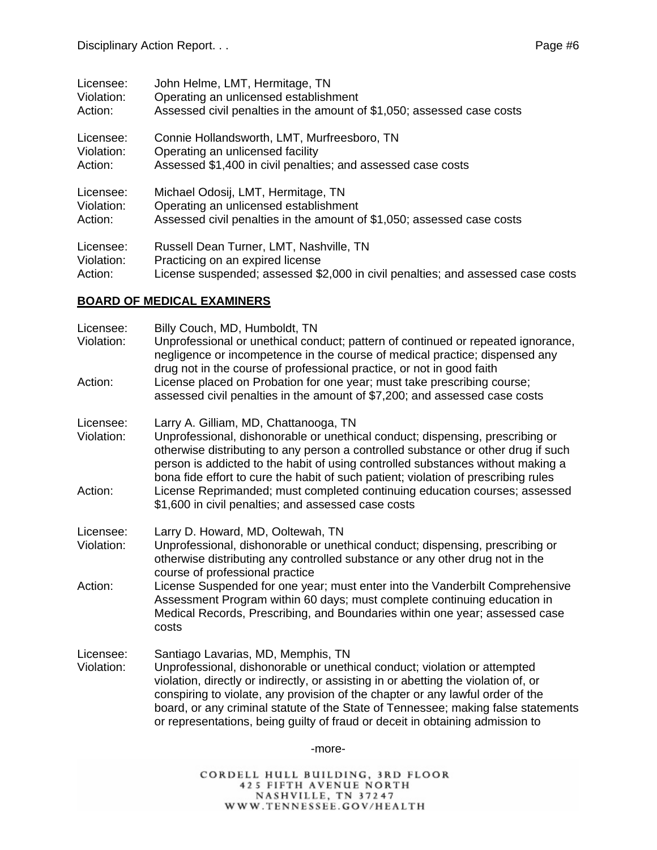| Licensee:  | John Helme, LMT, Hermitage, TN                                                  |
|------------|---------------------------------------------------------------------------------|
| Violation: | Operating an unlicensed establishment                                           |
| Action:    | Assessed civil penalties in the amount of \$1,050; assessed case costs          |
| Licensee:  | Connie Hollandsworth, LMT, Murfreesboro, TN                                     |
| Violation: | Operating an unlicensed facility                                                |
| Action:    | Assessed \$1,400 in civil penalties; and assessed case costs                    |
| Licensee:  | Michael Odosij, LMT, Hermitage, TN                                              |
| Violation: | Operating an unlicensed establishment                                           |
| Action:    | Assessed civil penalties in the amount of \$1,050; assessed case costs          |
| Licensee:  | Russell Dean Turner, LMT, Nashville, TN                                         |
| Violation: | Practicing on an expired license                                                |
| Action:    | License suspended; assessed \$2,000 in civil penalties; and assessed case costs |

#### **BOARD OF MEDICAL EXAMINERS**

| Licensee:<br>Violation: | Billy Couch, MD, Humboldt, TN<br>Unprofessional or unethical conduct; pattern of continued or repeated ignorance,<br>negligence or incompetence in the course of medical practice; dispensed any<br>drug not in the course of professional practice, or not in good faith                                                                                                                                                                                      |
|-------------------------|----------------------------------------------------------------------------------------------------------------------------------------------------------------------------------------------------------------------------------------------------------------------------------------------------------------------------------------------------------------------------------------------------------------------------------------------------------------|
| Action:                 | License placed on Probation for one year; must take prescribing course;<br>assessed civil penalties in the amount of \$7,200; and assessed case costs                                                                                                                                                                                                                                                                                                          |
| Licensee:<br>Violation: | Larry A. Gilliam, MD, Chattanooga, TN<br>Unprofessional, dishonorable or unethical conduct; dispensing, prescribing or<br>otherwise distributing to any person a controlled substance or other drug if such<br>person is addicted to the habit of using controlled substances without making a<br>bona fide effort to cure the habit of such patient; violation of prescribing rules                                                                           |
| Action:                 | License Reprimanded; must completed continuing education courses; assessed<br>\$1,600 in civil penalties; and assessed case costs                                                                                                                                                                                                                                                                                                                              |
| Licensee:<br>Violation: | Larry D. Howard, MD, Ooltewah, TN<br>Unprofessional, dishonorable or unethical conduct; dispensing, prescribing or<br>otherwise distributing any controlled substance or any other drug not in the<br>course of professional practice                                                                                                                                                                                                                          |
| Action:                 | License Suspended for one year; must enter into the Vanderbilt Comprehensive<br>Assessment Program within 60 days; must complete continuing education in<br>Medical Records, Prescribing, and Boundaries within one year; assessed case<br>costs                                                                                                                                                                                                               |
| Licensee:<br>Violation: | Santiago Lavarias, MD, Memphis, TN<br>Unprofessional, dishonorable or unethical conduct; violation or attempted<br>violation, directly or indirectly, or assisting in or abetting the violation of, or<br>conspiring to violate, any provision of the chapter or any lawful order of the<br>board, or any criminal statute of the State of Tennessee; making false statements<br>or representations, being guilty of fraud or deceit in obtaining admission to |
|                         | -more-                                                                                                                                                                                                                                                                                                                                                                                                                                                         |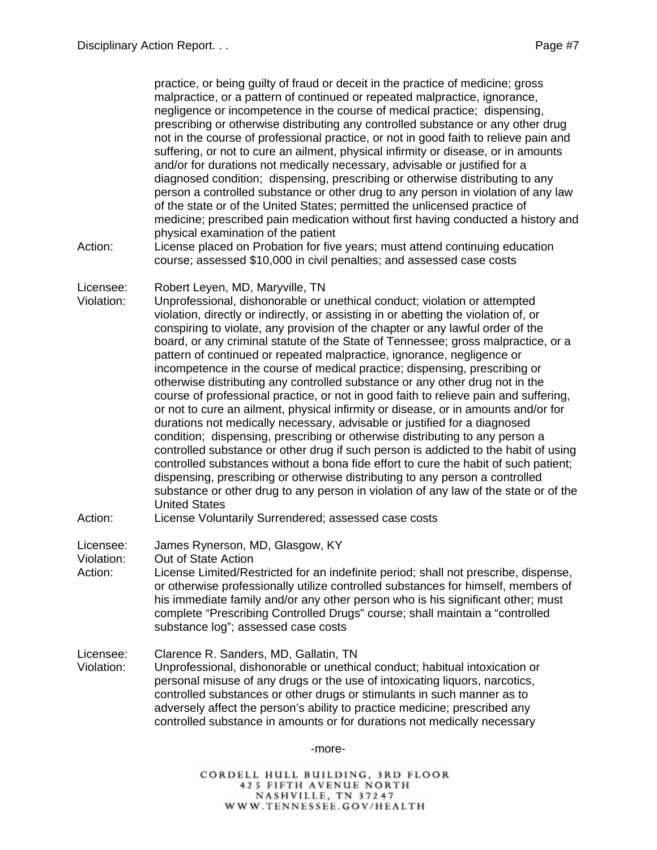practice, or being guilty of fraud or deceit in the practice of medicine; gross malpractice, or a pattern of continued or repeated malpractice, ignorance, negligence or incompetence in the course of medical practice; dispensing, prescribing or otherwise distributing any controlled substance or any other drug not in the course of professional practice, or not in good faith to relieve pain and suffering, or not to cure an ailment, physical infirmity or disease, or in amounts and/or for durations not medically necessary, advisable or justified for a diagnosed condition; dispensing, prescribing or otherwise distributing to any person a controlled substance or other drug to any person in violation of any law of the state or of the United States; permitted the unlicensed practice of medicine; prescribed pain medication without first having conducted a history and physical examination of the patient Action: License placed on Probation for five years; must attend continuing education course; assessed \$10,000 in civil penalties; and assessed case costs Licensee: Robert Leyen, MD, Maryville, TN Violation: Unprofessional, dishonorable or unethical conduct; violation or attempted violation, directly or indirectly, or assisting in or abetting the violation of, or conspiring to violate, any provision of the chapter or any lawful order of the board, or any criminal statute of the State of Tennessee; gross malpractice, or a pattern of continued or repeated malpractice, ignorance, negligence or incompetence in the course of medical practice; dispensing, prescribing or otherwise distributing any controlled substance or any other drug not in the course of professional practice, or not in good faith to relieve pain and suffering, or not to cure an ailment, physical infirmity or disease, or in amounts and/or for durations not medically necessary, advisable or justified for a diagnosed condition; dispensing, prescribing or otherwise distributing to any person a controlled substance or other drug if such person is addicted to the habit of using controlled substances without a bona fide effort to cure the habit of such patient; dispensing, prescribing or otherwise distributing to any person a controlled substance or other drug to any person in violation of any law of the state or of the United States Action: License Voluntarily Surrendered; assessed case costs Licensee: James Rynerson, MD, Glasgow, KY Violation: Out of State Action Action: License Limited/Restricted for an indefinite period; shall not prescribe, dispense, or otherwise professionally utilize controlled substances for himself, members of his immediate family and/or any other person who is his significant other; must complete "Prescribing Controlled Drugs" course; shall maintain a "controlled substance log"; assessed case costs

Licensee: Clarence R. Sanders, MD, Gallatin, TN Violation: Unprofessional, dishonorable or unethical conduct; habitual intoxication or personal misuse of any drugs or the use of intoxicating liquors, narcotics, controlled substances or other drugs or stimulants in such manner as to adversely affect the person's ability to practice medicine; prescribed any controlled substance in amounts or for durations not medically necessary

-more-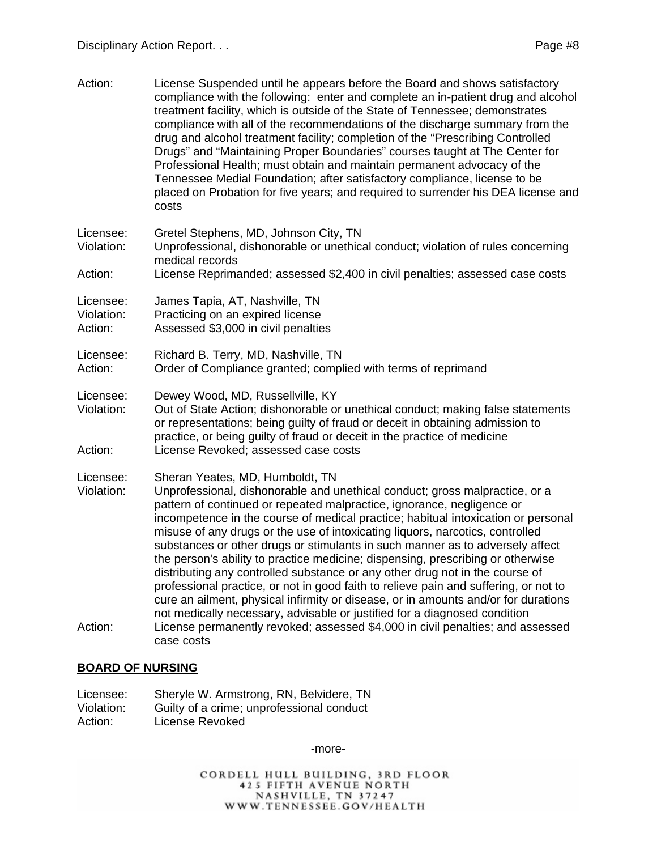| Action:                            | License Suspended until he appears before the Board and shows satisfactory<br>compliance with the following: enter and complete an in-patient drug and alcohol<br>treatment facility, which is outside of the State of Tennessee; demonstrates<br>compliance with all of the recommendations of the discharge summary from the<br>drug and alcohol treatment facility; completion of the "Prescribing Controlled<br>Drugs" and "Maintaining Proper Boundaries" courses taught at The Center for<br>Professional Health; must obtain and maintain permanent advocacy of the<br>Tennessee Medial Foundation; after satisfactory compliance, license to be<br>placed on Probation for five years; and required to surrender his DEA license and<br>costs                                                                                                                         |
|------------------------------------|-------------------------------------------------------------------------------------------------------------------------------------------------------------------------------------------------------------------------------------------------------------------------------------------------------------------------------------------------------------------------------------------------------------------------------------------------------------------------------------------------------------------------------------------------------------------------------------------------------------------------------------------------------------------------------------------------------------------------------------------------------------------------------------------------------------------------------------------------------------------------------|
| Licensee:<br>Violation:            | Gretel Stephens, MD, Johnson City, TN<br>Unprofessional, dishonorable or unethical conduct; violation of rules concerning<br>medical records                                                                                                                                                                                                                                                                                                                                                                                                                                                                                                                                                                                                                                                                                                                                  |
| Action:                            | License Reprimanded; assessed \$2,400 in civil penalties; assessed case costs                                                                                                                                                                                                                                                                                                                                                                                                                                                                                                                                                                                                                                                                                                                                                                                                 |
| Licensee:<br>Violation:<br>Action: | James Tapia, AT, Nashville, TN<br>Practicing on an expired license<br>Assessed \$3,000 in civil penalties                                                                                                                                                                                                                                                                                                                                                                                                                                                                                                                                                                                                                                                                                                                                                                     |
| Licensee:<br>Action:               | Richard B. Terry, MD, Nashville, TN<br>Order of Compliance granted; complied with terms of reprimand                                                                                                                                                                                                                                                                                                                                                                                                                                                                                                                                                                                                                                                                                                                                                                          |
| Licensee:<br>Violation:            | Dewey Wood, MD, Russellville, KY<br>Out of State Action; dishonorable or unethical conduct; making false statements<br>or representations; being guilty of fraud or deceit in obtaining admission to<br>practice, or being guilty of fraud or deceit in the practice of medicine                                                                                                                                                                                                                                                                                                                                                                                                                                                                                                                                                                                              |
| Action:                            | License Revoked; assessed case costs                                                                                                                                                                                                                                                                                                                                                                                                                                                                                                                                                                                                                                                                                                                                                                                                                                          |
| Licensee:<br>Violation:            | Sheran Yeates, MD, Humboldt, TN<br>Unprofessional, dishonorable and unethical conduct; gross malpractice, or a<br>pattern of continued or repeated malpractice, ignorance, negligence or<br>incompetence in the course of medical practice; habitual intoxication or personal<br>misuse of any drugs or the use of intoxicating liquors, narcotics, controlled<br>substances or other drugs or stimulants in such manner as to adversely affect<br>the person's ability to practice medicine; dispensing, prescribing or otherwise<br>distributing any controlled substance or any other drug not in the course of<br>professional practice, or not in good faith to relieve pain and suffering, or not to<br>cure an ailment, physical infirmity or disease, or in amounts and/or for durations<br>not medically necessary, advisable or justified for a diagnosed condition |
| Action:                            | License permanently revoked; assessed \$4,000 in civil penalties; and assessed<br>case costs                                                                                                                                                                                                                                                                                                                                                                                                                                                                                                                                                                                                                                                                                                                                                                                  |

#### **BOARD OF NURSING**

| Licensee:  | Sheryle W. Armstrong, RN, Belvidere, TN   |
|------------|-------------------------------------------|
| Violation: | Guilty of a crime; unprofessional conduct |
| Action:    | License Revoked                           |

-more-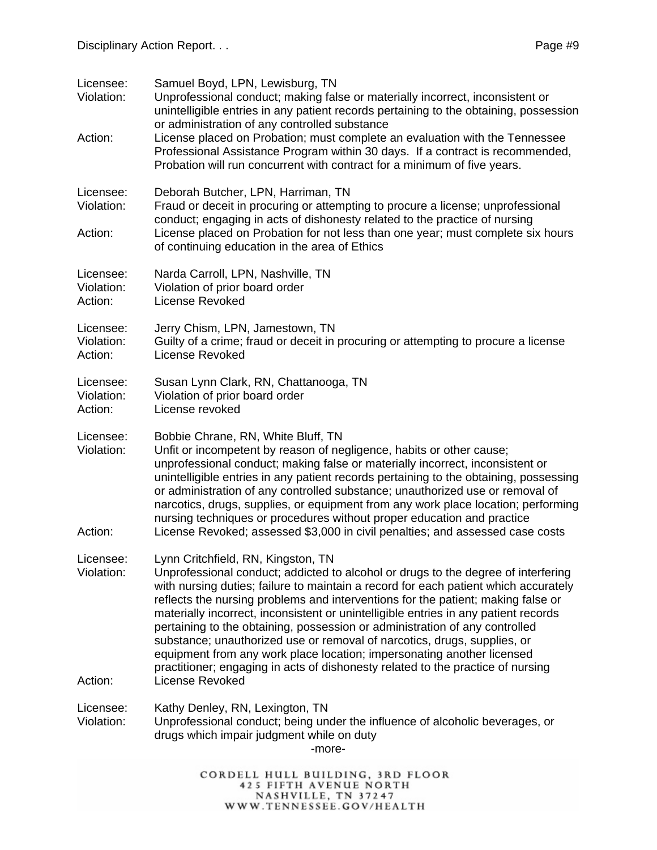| Licensee:<br>Violation:<br>Action: | Samuel Boyd, LPN, Lewisburg, TN<br>Unprofessional conduct; making false or materially incorrect, inconsistent or<br>unintelligible entries in any patient records pertaining to the obtaining, possession<br>or administration of any controlled substance<br>License placed on Probation; must complete an evaluation with the Tennessee<br>Professional Assistance Program within 30 days. If a contract is recommended,<br>Probation will run concurrent with contract for a minimum of five years.                                                                                                                                                                                                                               |
|------------------------------------|--------------------------------------------------------------------------------------------------------------------------------------------------------------------------------------------------------------------------------------------------------------------------------------------------------------------------------------------------------------------------------------------------------------------------------------------------------------------------------------------------------------------------------------------------------------------------------------------------------------------------------------------------------------------------------------------------------------------------------------|
| Licensee:<br>Violation:<br>Action: | Deborah Butcher, LPN, Harriman, TN<br>Fraud or deceit in procuring or attempting to procure a license; unprofessional<br>conduct; engaging in acts of dishonesty related to the practice of nursing<br>License placed on Probation for not less than one year; must complete six hours<br>of continuing education in the area of Ethics                                                                                                                                                                                                                                                                                                                                                                                              |
| Licensee:<br>Violation:<br>Action: | Narda Carroll, LPN, Nashville, TN<br>Violation of prior board order<br>License Revoked                                                                                                                                                                                                                                                                                                                                                                                                                                                                                                                                                                                                                                               |
| Licensee:<br>Violation:<br>Action: | Jerry Chism, LPN, Jamestown, TN<br>Guilty of a crime; fraud or deceit in procuring or attempting to procure a license<br><b>License Revoked</b>                                                                                                                                                                                                                                                                                                                                                                                                                                                                                                                                                                                      |
| Licensee:<br>Violation:<br>Action: | Susan Lynn Clark, RN, Chattanooga, TN<br>Violation of prior board order<br>License revoked                                                                                                                                                                                                                                                                                                                                                                                                                                                                                                                                                                                                                                           |
| Licensee:<br>Violation:<br>Action: | Bobbie Chrane, RN, White Bluff, TN<br>Unfit or incompetent by reason of negligence, habits or other cause;<br>unprofessional conduct; making false or materially incorrect, inconsistent or<br>unintelligible entries in any patient records pertaining to the obtaining, possessing<br>or administration of any controlled substance; unauthorized use or removal of<br>narcotics, drugs, supplies, or equipment from any work place location; performing<br>nursing techniques or procedures without proper education and practice<br>License Revoked; assessed \$3,000 in civil penalties; and assessed case costs                                                                                                                |
| Licensee:<br>Violation:<br>Action: | Lynn Critchfield, RN, Kingston, TN<br>Unprofessional conduct; addicted to alcohol or drugs to the degree of interfering<br>with nursing duties; failure to maintain a record for each patient which accurately<br>reflects the nursing problems and interventions for the patient; making false or<br>materially incorrect, inconsistent or unintelligible entries in any patient records<br>pertaining to the obtaining, possession or administration of any controlled<br>substance; unauthorized use or removal of narcotics, drugs, supplies, or<br>equipment from any work place location; impersonating another licensed<br>practitioner; engaging in acts of dishonesty related to the practice of nursing<br>License Revoked |
|                                    |                                                                                                                                                                                                                                                                                                                                                                                                                                                                                                                                                                                                                                                                                                                                      |
| Licensee:<br>Violation:            | Kathy Denley, RN, Lexington, TN<br>Unprofessional conduct; being under the influence of alcoholic beverages, or<br>drugs which impair judgment while on duty<br>-more-                                                                                                                                                                                                                                                                                                                                                                                                                                                                                                                                                               |
|                                    | CORDELL HULL BUILDING, 3RD FLOOR<br><b>425 FIFTH AVENUE NORTH</b><br>NASHVILLE, TN 37247<br>WWW.TENNESSEE.GOV/HEALTH                                                                                                                                                                                                                                                                                                                                                                                                                                                                                                                                                                                                                 |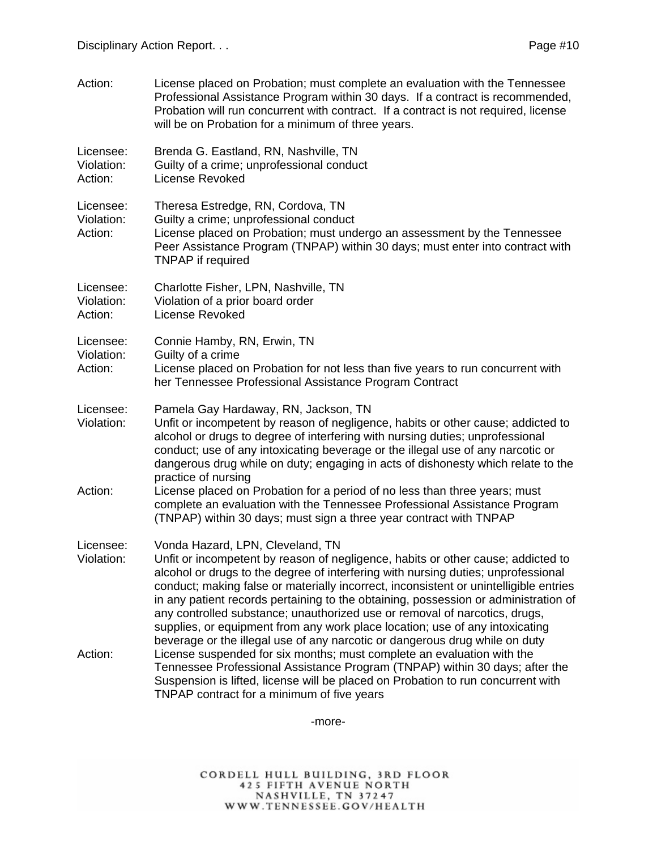Action: License placed on Probation; must complete an evaluation with the Tennessee Professional Assistance Program within 30 days. If a contract is recommended, Probation will run concurrent with contract. If a contract is not required, license will be on Probation for a minimum of three years. Licensee: Brenda G. Eastland, RN, Nashville, TN Violation: Guilty of a crime; unprofessional conduct Action: License Revoked Licensee: Theresa Estredge, RN, Cordova, TN Violation: Guilty a crime; unprofessional conduct Action: License placed on Probation; must undergo an assessment by the Tennessee Peer Assistance Program (TNPAP) within 30 days; must enter into contract with TNPAP if required Licensee: Charlotte Fisher, LPN, Nashville, TN Violation: Violation of a prior board order Action: License Revoked Licensee: Connie Hamby, RN, Erwin, TN Violation: Guilty of a crime Action: License placed on Probation for not less than five years to run concurrent with her Tennessee Professional Assistance Program Contract Licensee: Pamela Gay Hardaway, RN, Jackson, TN Violation: Unfit or incompetent by reason of negligence, habits or other cause; addicted to alcohol or drugs to degree of interfering with nursing duties; unprofessional conduct; use of any intoxicating beverage or the illegal use of any narcotic or dangerous drug while on duty; engaging in acts of dishonesty which relate to the practice of nursing Action: License placed on Probation for a period of no less than three years; must complete an evaluation with the Tennessee Professional Assistance Program (TNPAP) within 30 days; must sign a three year contract with TNPAP Licensee: Vonda Hazard, LPN, Cleveland, TN Violation: Unfit or incompetent by reason of negligence, habits or other cause; addicted to alcohol or drugs to the degree of interfering with nursing duties; unprofessional conduct; making false or materially incorrect, inconsistent or unintelligible entries in any patient records pertaining to the obtaining, possession or administration of any controlled substance; unauthorized use or removal of narcotics, drugs, supplies, or equipment from any work place location; use of any intoxicating beverage or the illegal use of any narcotic or dangerous drug while on duty Action: License suspended for six months; must complete an evaluation with the Tennessee Professional Assistance Program (TNPAP) within 30 days; after the Suspension is lifted, license will be placed on Probation to run concurrent with TNPAP contract for a minimum of five years

-more-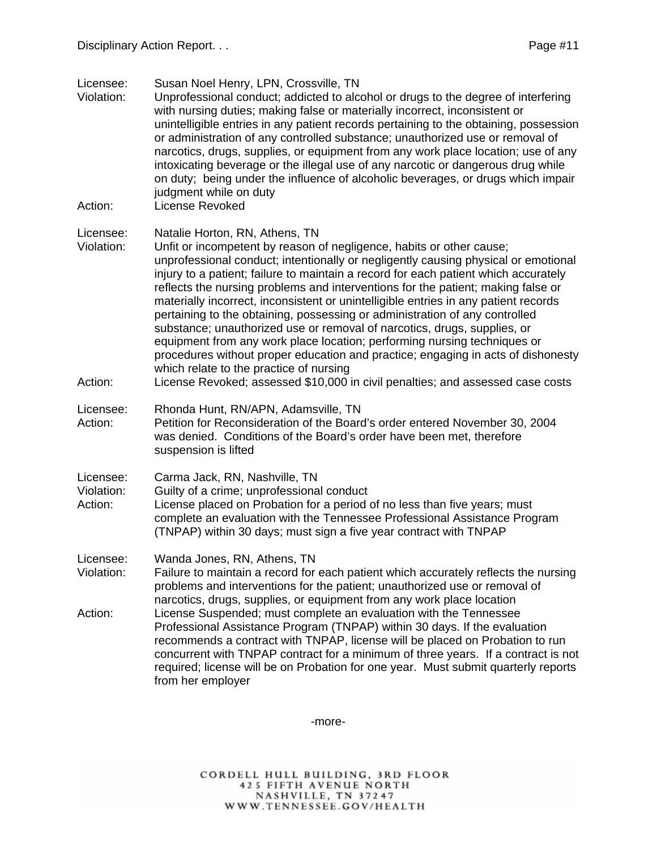Licensee: Susan Noel Henry, LPN, Crossville, TN

- Violation: Unprofessional conduct; addicted to alcohol or drugs to the degree of interfering with nursing duties; making false or materially incorrect, inconsistent or unintelligible entries in any patient records pertaining to the obtaining, possession or administration of any controlled substance; unauthorized use or removal of narcotics, drugs, supplies, or equipment from any work place location; use of any intoxicating beverage or the illegal use of any narcotic or dangerous drug while on duty; being under the influence of alcoholic beverages, or drugs which impair judgment while on duty
- Action: License Revoked

- Violation: Unfit or incompetent by reason of negligence, habits or other cause; unprofessional conduct; intentionally or negligently causing physical or emotional injury to a patient; failure to maintain a record for each patient which accurately reflects the nursing problems and interventions for the patient; making false or materially incorrect, inconsistent or unintelligible entries in any patient records pertaining to the obtaining, possessing or administration of any controlled substance; unauthorized use or removal of narcotics, drugs, supplies, or equipment from any work place location; performing nursing techniques or procedures without proper education and practice; engaging in acts of dishonesty which relate to the practice of nursing
- Action: License Revoked; assessed \$10,000 in civil penalties; and assessed case costs
- Licensee: Rhonda Hunt, RN/APN, Adamsville, TN Action: Petition for Reconsideration of the Board's order entered November 30, 2004 was denied. Conditions of the Board's order have been met, therefore suspension is lifted
- Licensee: Carma Jack, RN, Nashville, TN
- Violation: Guilty of a crime; unprofessional conduct
- Action: License placed on Probation for a period of no less than five years; must complete an evaluation with the Tennessee Professional Assistance Program (TNPAP) within 30 days; must sign a five year contract with TNPAP
- Licensee: Wanda Jones, RN, Athens, TN
- Violation: Failure to maintain a record for each patient which accurately reflects the nursing problems and interventions for the patient; unauthorized use or removal of narcotics, drugs, supplies, or equipment from any work place location
- Action: License Suspended; must complete an evaluation with the Tennessee Professional Assistance Program (TNPAP) within 30 days. If the evaluation recommends a contract with TNPAP, license will be placed on Probation to run concurrent with TNPAP contract for a minimum of three years. If a contract is not required; license will be on Probation for one year. Must submit quarterly reports from her employer

-more-

Licensee: Natalie Horton, RN, Athens, TN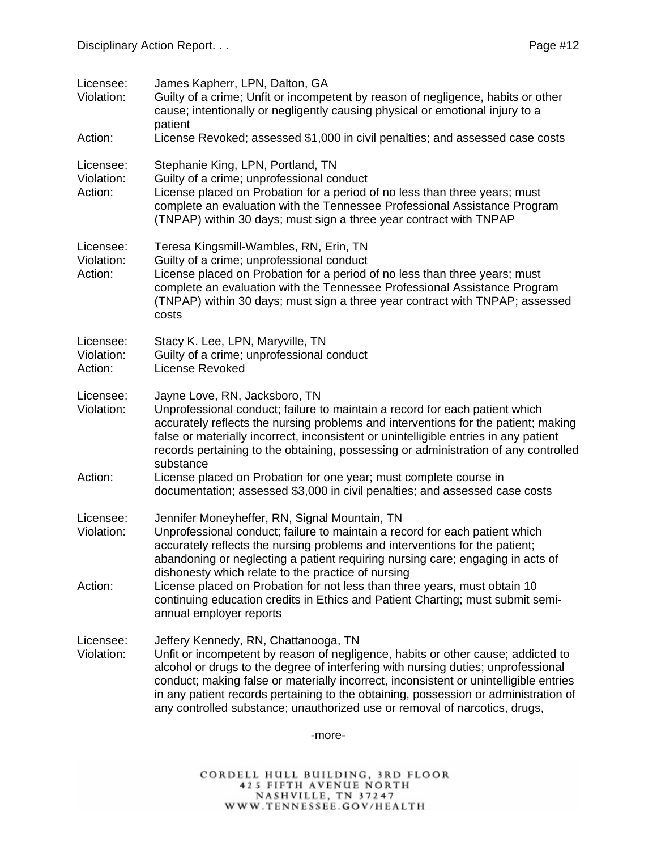| Licensee:<br>Violation:            | James Kapherr, LPN, Dalton, GA<br>Guilty of a crime; Unfit or incompetent by reason of negligence, habits or other<br>cause; intentionally or negligently causing physical or emotional injury to a<br>patient                                                                                                                                                                                                                                                              |
|------------------------------------|-----------------------------------------------------------------------------------------------------------------------------------------------------------------------------------------------------------------------------------------------------------------------------------------------------------------------------------------------------------------------------------------------------------------------------------------------------------------------------|
| Action:                            | License Revoked; assessed \$1,000 in civil penalties; and assessed case costs                                                                                                                                                                                                                                                                                                                                                                                               |
| Licensee:<br>Violation:<br>Action: | Stephanie King, LPN, Portland, TN<br>Guilty of a crime; unprofessional conduct<br>License placed on Probation for a period of no less than three years; must<br>complete an evaluation with the Tennessee Professional Assistance Program<br>(TNPAP) within 30 days; must sign a three year contract with TNPAP                                                                                                                                                             |
| Licensee:<br>Violation:<br>Action: | Teresa Kingsmill-Wambles, RN, Erin, TN<br>Guilty of a crime; unprofessional conduct<br>License placed on Probation for a period of no less than three years; must<br>complete an evaluation with the Tennessee Professional Assistance Program<br>(TNPAP) within 30 days; must sign a three year contract with TNPAP; assessed<br>costs                                                                                                                                     |
| Licensee:<br>Violation:<br>Action: | Stacy K. Lee, LPN, Maryville, TN<br>Guilty of a crime; unprofessional conduct<br>License Revoked                                                                                                                                                                                                                                                                                                                                                                            |
| Licensee:<br>Violation:            | Jayne Love, RN, Jacksboro, TN<br>Unprofessional conduct; failure to maintain a record for each patient which<br>accurately reflects the nursing problems and interventions for the patient; making<br>false or materially incorrect, inconsistent or unintelligible entries in any patient<br>records pertaining to the obtaining, possessing or administration of any controlled<br>substance                                                                              |
| Action:                            | License placed on Probation for one year; must complete course in<br>documentation; assessed \$3,000 in civil penalties; and assessed case costs                                                                                                                                                                                                                                                                                                                            |
| Licensee:<br>Violation:            | Jennifer Moneyheffer, RN, Signal Mountain, TN<br>Unprofessional conduct; failure to maintain a record for each patient which<br>accurately reflects the nursing problems and interventions for the patient;<br>abandoning or neglecting a patient requiring nursing care; engaging in acts of<br>dishonesty which relate to the practice of nursing                                                                                                                         |
| Action:                            | License placed on Probation for not less than three years, must obtain 10<br>continuing education credits in Ethics and Patient Charting; must submit semi-<br>annual employer reports                                                                                                                                                                                                                                                                                      |
| Licensee:<br>Violation:            | Jeffery Kennedy, RN, Chattanooga, TN<br>Unfit or incompetent by reason of negligence, habits or other cause; addicted to<br>alcohol or drugs to the degree of interfering with nursing duties; unprofessional<br>conduct; making false or materially incorrect, inconsistent or unintelligible entries<br>in any patient records pertaining to the obtaining, possession or administration of<br>any controlled substance; unauthorized use or removal of narcotics, drugs, |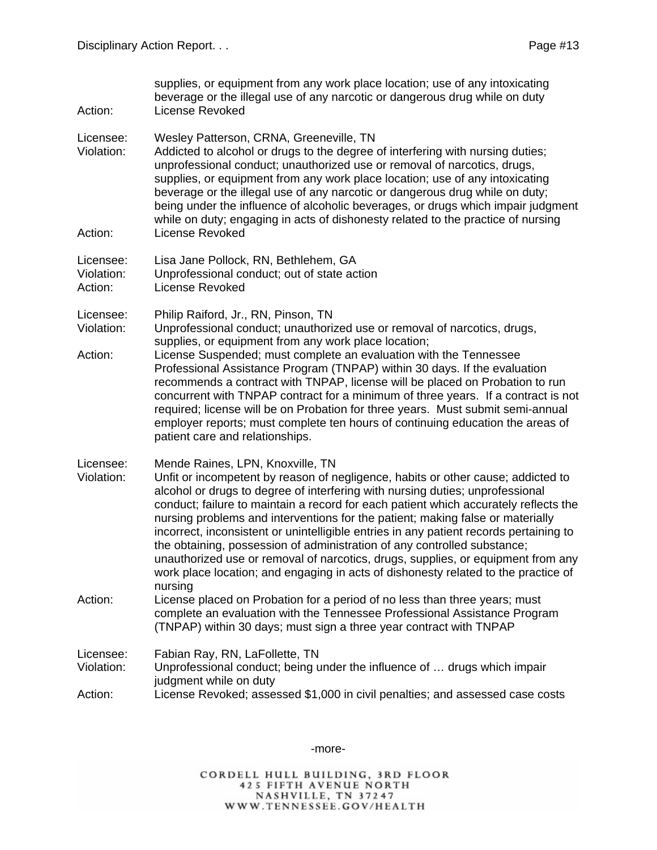| Action:                            | supplies, or equipment from any work place location; use of any intoxicating<br>beverage or the illegal use of any narcotic or dangerous drug while on duty<br>License Revoked                                                                                                                                                                                                                                                                                                                                                                                                                                                                                                                                                             |
|------------------------------------|--------------------------------------------------------------------------------------------------------------------------------------------------------------------------------------------------------------------------------------------------------------------------------------------------------------------------------------------------------------------------------------------------------------------------------------------------------------------------------------------------------------------------------------------------------------------------------------------------------------------------------------------------------------------------------------------------------------------------------------------|
| Licensee:<br>Violation:<br>Action: | Wesley Patterson, CRNA, Greeneville, TN<br>Addicted to alcohol or drugs to the degree of interfering with nursing duties;<br>unprofessional conduct; unauthorized use or removal of narcotics, drugs,<br>supplies, or equipment from any work place location; use of any intoxicating<br>beverage or the illegal use of any narcotic or dangerous drug while on duty;<br>being under the influence of alcoholic beverages, or drugs which impair judgment<br>while on duty; engaging in acts of dishonesty related to the practice of nursing<br><b>License Revoked</b>                                                                                                                                                                    |
|                                    |                                                                                                                                                                                                                                                                                                                                                                                                                                                                                                                                                                                                                                                                                                                                            |
| Licensee:<br>Violation:<br>Action: | Lisa Jane Pollock, RN, Bethlehem, GA<br>Unprofessional conduct; out of state action<br><b>License Revoked</b>                                                                                                                                                                                                                                                                                                                                                                                                                                                                                                                                                                                                                              |
| Licensee:<br>Violation:            | Philip Raiford, Jr., RN, Pinson, TN<br>Unprofessional conduct; unauthorized use or removal of narcotics, drugs,<br>supplies, or equipment from any work place location;                                                                                                                                                                                                                                                                                                                                                                                                                                                                                                                                                                    |
| Action:                            | License Suspended; must complete an evaluation with the Tennessee<br>Professional Assistance Program (TNPAP) within 30 days. If the evaluation<br>recommends a contract with TNPAP, license will be placed on Probation to run<br>concurrent with TNPAP contract for a minimum of three years. If a contract is not<br>required; license will be on Probation for three years. Must submit semi-annual<br>employer reports; must complete ten hours of continuing education the areas of<br>patient care and relationships.                                                                                                                                                                                                                |
| Licensee:<br>Violation:            | Mende Raines, LPN, Knoxville, TN<br>Unfit or incompetent by reason of negligence, habits or other cause; addicted to<br>alcohol or drugs to degree of interfering with nursing duties; unprofessional<br>conduct; failure to maintain a record for each patient which accurately reflects the<br>nursing problems and interventions for the patient; making false or materially<br>incorrect, inconsistent or unintelligible entries in any patient records pertaining to<br>the obtaining, possession of administration of any controlled substance;<br>unauthorized use or removal of narcotics, drugs, supplies, or equipment from any<br>work place location; and engaging in acts of dishonesty related to the practice of<br>nursing |
| Action:                            | License placed on Probation for a period of no less than three years; must<br>complete an evaluation with the Tennessee Professional Assistance Program<br>(TNPAP) within 30 days; must sign a three year contract with TNPAP                                                                                                                                                                                                                                                                                                                                                                                                                                                                                                              |
| Licensee:<br>Violation:            | Fabian Ray, RN, LaFollette, TN<br>Unprofessional conduct; being under the influence of  drugs which impair<br>judgment while on duty                                                                                                                                                                                                                                                                                                                                                                                                                                                                                                                                                                                                       |
| Action:                            | License Revoked; assessed \$1,000 in civil penalties; and assessed case costs                                                                                                                                                                                                                                                                                                                                                                                                                                                                                                                                                                                                                                                              |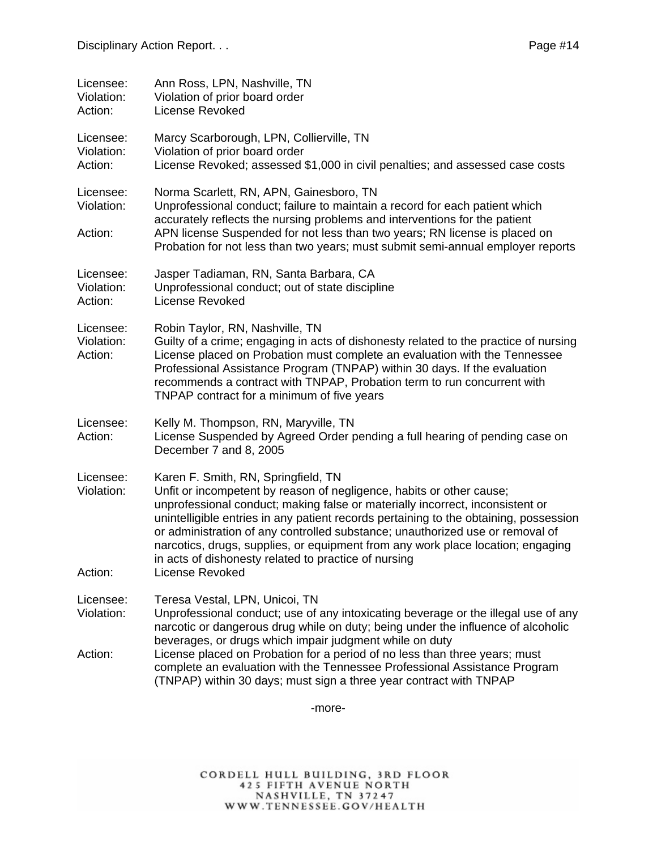| Licensee:<br>Violation:<br>Action: | Ann Ross, LPN, Nashville, TN<br>Violation of prior board order<br><b>License Revoked</b>                                                                                                                                                                                                                                                                                                                    |
|------------------------------------|-------------------------------------------------------------------------------------------------------------------------------------------------------------------------------------------------------------------------------------------------------------------------------------------------------------------------------------------------------------------------------------------------------------|
| Licensee:<br>Violation:<br>Action: | Marcy Scarborough, LPN, Collierville, TN<br>Violation of prior board order<br>License Revoked; assessed \$1,000 in civil penalties; and assessed case costs                                                                                                                                                                                                                                                 |
| Licensee:<br>Violation:<br>Action: | Norma Scarlett, RN, APN, Gainesboro, TN<br>Unprofessional conduct; failure to maintain a record for each patient which<br>accurately reflects the nursing problems and interventions for the patient<br>APN license Suspended for not less than two years; RN license is placed on<br>Probation for not less than two years; must submit semi-annual employer reports                                       |
| Licensee:<br>Violation:<br>Action: | Jasper Tadiaman, RN, Santa Barbara, CA<br>Unprofessional conduct; out of state discipline<br>License Revoked                                                                                                                                                                                                                                                                                                |
| Licensee:<br>Violation:<br>Action: | Robin Taylor, RN, Nashville, TN<br>Guilty of a crime; engaging in acts of dishonesty related to the practice of nursing<br>License placed on Probation must complete an evaluation with the Tennessee<br>Professional Assistance Program (TNPAP) within 30 days. If the evaluation<br>recommends a contract with TNPAP, Probation term to run concurrent with<br>TNPAP contract for a minimum of five years |
| Licensee:<br>Action:               | Kelly M. Thompson, RN, Maryville, TN<br>License Suspended by Agreed Order pending a full hearing of pending case on<br>December 7 and 8, 2005                                                                                                                                                                                                                                                               |
| Licensee:<br>Violation:            | Karen F. Smith, RN, Springfield, TN<br>Unfit or incompetent by reason of negligence, habits or other cause;<br>unprofessional conduct; making false or materially incorrect, inconsistent or<br>unintelligible entries in any patient records pertaining to the obtaining, possession<br>or administration of any controlled substance; unauthorized use or removal of                                      |

in acts of dishonesty related to practice of nursing Action: License Revoked

Licensee: Teresa Vestal, LPN, Unicoi, TN

Violation: Unprofessional conduct; use of any intoxicating beverage or the illegal use of any narcotic or dangerous drug while on duty; being under the influence of alcoholic beverages, or drugs which impair judgment while on duty

narcotics, drugs, supplies, or equipment from any work place location; engaging

Action: License placed on Probation for a period of no less than three years; must complete an evaluation with the Tennessee Professional Assistance Program (TNPAP) within 30 days; must sign a three year contract with TNPAP

-more-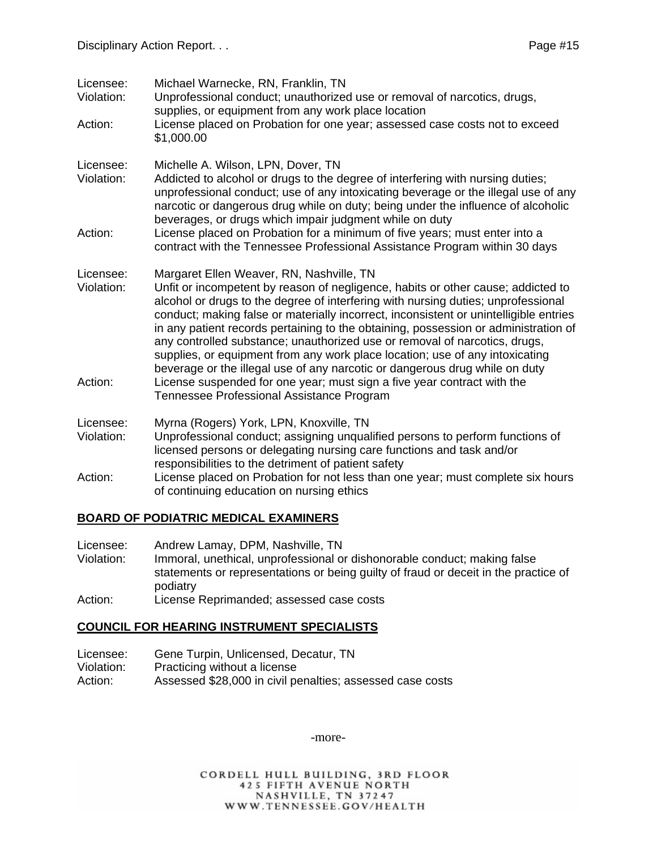| Licensee:<br>Violation: | Michael Warnecke, RN, Franklin, TN<br>Unprofessional conduct; unauthorized use or removal of narcotics, drugs,<br>supplies, or equipment from any work place location                                                                                                                                                                                                                                                                                                                                                                                                                                                                          |
|-------------------------|------------------------------------------------------------------------------------------------------------------------------------------------------------------------------------------------------------------------------------------------------------------------------------------------------------------------------------------------------------------------------------------------------------------------------------------------------------------------------------------------------------------------------------------------------------------------------------------------------------------------------------------------|
| Action:                 | License placed on Probation for one year; assessed case costs not to exceed<br>\$1,000.00                                                                                                                                                                                                                                                                                                                                                                                                                                                                                                                                                      |
| Licensee:<br>Violation: | Michelle A. Wilson, LPN, Dover, TN<br>Addicted to alcohol or drugs to the degree of interfering with nursing duties;<br>unprofessional conduct; use of any intoxicating beverage or the illegal use of any<br>narcotic or dangerous drug while on duty; being under the influence of alcoholic<br>beverages, or drugs which impair judgment while on duty                                                                                                                                                                                                                                                                                      |
| Action:                 | License placed on Probation for a minimum of five years; must enter into a<br>contract with the Tennessee Professional Assistance Program within 30 days                                                                                                                                                                                                                                                                                                                                                                                                                                                                                       |
| Licensee:<br>Violation: | Margaret Ellen Weaver, RN, Nashville, TN<br>Unfit or incompetent by reason of negligence, habits or other cause; addicted to<br>alcohol or drugs to the degree of interfering with nursing duties; unprofessional<br>conduct; making false or materially incorrect, inconsistent or unintelligible entries<br>in any patient records pertaining to the obtaining, possession or administration of<br>any controlled substance; unauthorized use or removal of narcotics, drugs,<br>supplies, or equipment from any work place location; use of any intoxicating<br>beverage or the illegal use of any narcotic or dangerous drug while on duty |
| Action:                 | License suspended for one year; must sign a five year contract with the<br>Tennessee Professional Assistance Program                                                                                                                                                                                                                                                                                                                                                                                                                                                                                                                           |
| Licensee:<br>Violation: | Myrna (Rogers) York, LPN, Knoxville, TN<br>Unprofessional conduct; assigning unqualified persons to perform functions of<br>licensed persons or delegating nursing care functions and task and/or<br>responsibilities to the detriment of patient safety                                                                                                                                                                                                                                                                                                                                                                                       |
| Action:                 | License placed on Probation for not less than one year; must complete six hours<br>of continuing education on nursing ethics                                                                                                                                                                                                                                                                                                                                                                                                                                                                                                                   |

#### **BOARD OF PODIATRIC MEDICAL EXAMINERS**

Licensee: Andrew Lamay, DPM, Nashville, TN

- Violation: Immoral, unethical, unprofessional or dishonorable conduct; making false statements or representations or being guilty of fraud or deceit in the practice of podiatry
- Action: License Reprimanded; assessed case costs

#### **COUNCIL FOR HEARING INSTRUMENT SPECIALISTS**

- Licensee: Gene Turpin, Unlicensed, Decatur, TN<br>Violation: Practicing without a license
- Practicing without a license
- Action: Assessed \$28,000 in civil penalties; assessed case costs

-more-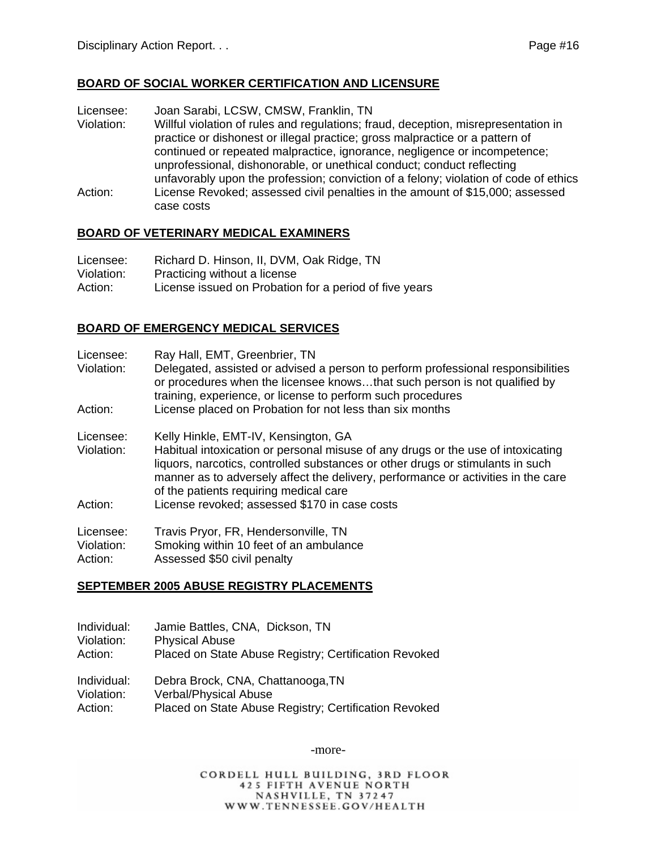#### **BOARD OF SOCIAL WORKER CERTIFICATION AND LICENSURE**

Licensee: Joan Sarabi, LCSW, CMSW, Franklin, TN

Violation: Willful violation of rules and regulations; fraud, deception, misrepresentation in practice or dishonest or illegal practice; gross malpractice or a pattern of continued or repeated malpractice, ignorance, negligence or incompetence; unprofessional, dishonorable, or unethical conduct; conduct reflecting unfavorably upon the profession; conviction of a felony; violation of code of ethics Action: License Revoked; assessed civil penalties in the amount of \$15,000; assessed case costs

#### **BOARD OF VETERINARY MEDICAL EXAMINERS**

| Licensee:  | Richard D. Hinson, II, DVM, Oak Ridge, TN              |
|------------|--------------------------------------------------------|
| Violation: | Practicing without a license                           |
| Action:    | License issued on Probation for a period of five years |

#### **BOARD OF EMERGENCY MEDICAL SERVICES**

| Licensee: |  |  | Ray Hall, EMT, Greenbrier, TN |  |
|-----------|--|--|-------------------------------|--|
|-----------|--|--|-------------------------------|--|

Violation: Delegated, assisted or advised a person to perform professional responsibilities or procedures when the licensee knows…that such person is not qualified by training, experience, or license to perform such procedures Action: License placed on Probation for not less than six months

Licensee: Kelly Hinkle, EMT-IV, Kensington, GA Violation: Habitual intoxication or personal misuse of any drugs or the use of intoxicating liquors, narcotics, controlled substances or other drugs or stimulants in such manner as to adversely affect the delivery, performance or activities in the care of the patients requiring medical care

Action: License revoked; assessed \$170 in case costs

| Licensee:                   | Travis Pryor, FR, Hendersonville, TN |  |
|-----------------------------|--------------------------------------|--|
| $\mathbf{v}$ . $\mathbf{v}$ | .                                    |  |

Violation: Smoking within 10 feet of an ambulance

Action: Assessed \$50 civil penalty

#### **SEPTEMBER 2005 ABUSE REGISTRY PLACEMENTS**

Individual: Jamie Battles, CNA, Dickson, TN Violation: Physical Abuse

Action: Placed on State Abuse Registry; Certification Revoked

Individual: Debra Brock, CNA, Chattanooga,TN Violation: Verbal/Physical Abuse Action: Placed on State Abuse Registry; Certification Revoked

-more-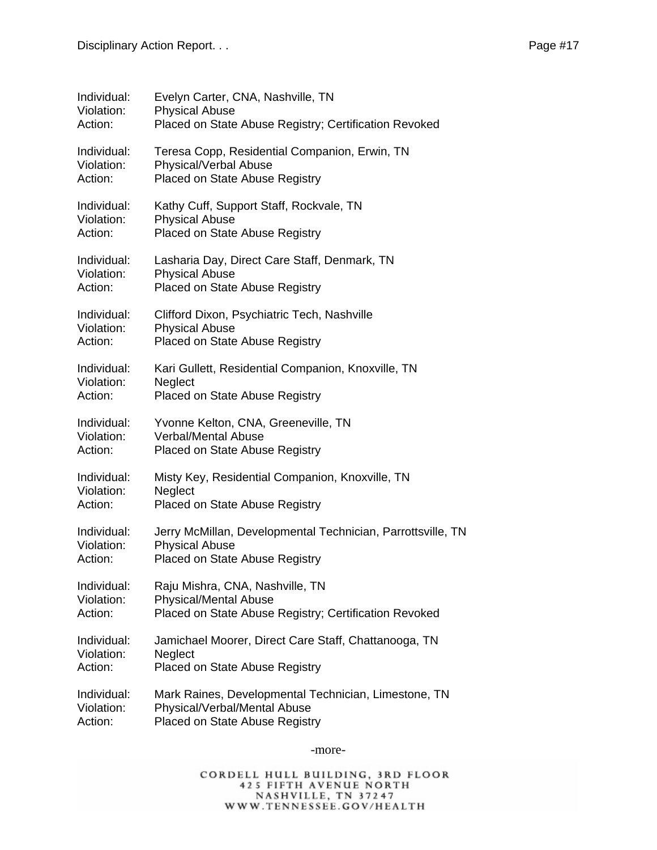| Individual: | Evelyn Carter, CNA, Nashville, TN                           |
|-------------|-------------------------------------------------------------|
| Violation:  | <b>Physical Abuse</b>                                       |
| Action:     | Placed on State Abuse Registry; Certification Revoked       |
| Individual: | Teresa Copp, Residential Companion, Erwin, TN               |
| Violation:  | Physical/Verbal Abuse                                       |
| Action:     | Placed on State Abuse Registry                              |
| Individual: | Kathy Cuff, Support Staff, Rockvale, TN                     |
| Violation:  | <b>Physical Abuse</b>                                       |
| Action:     | Placed on State Abuse Registry                              |
| Individual: | Lasharia Day, Direct Care Staff, Denmark, TN                |
| Violation:  | <b>Physical Abuse</b>                                       |
| Action:     | Placed on State Abuse Registry                              |
| Individual: | Clifford Dixon, Psychiatric Tech, Nashville                 |
| Violation:  | <b>Physical Abuse</b>                                       |
| Action:     | Placed on State Abuse Registry                              |
| Individual: | Kari Gullett, Residential Companion, Knoxville, TN          |
| Violation:  | Neglect                                                     |
| Action:     | Placed on State Abuse Registry                              |
| Individual: | Yvonne Kelton, CNA, Greeneville, TN                         |
| Violation:  | <b>Verbal/Mental Abuse</b>                                  |
| Action:     | Placed on State Abuse Registry                              |
| Individual: | Misty Key, Residential Companion, Knoxville, TN             |
| Violation:  | Neglect                                                     |
| Action:     | Placed on State Abuse Registry                              |
| Individual: | Jerry McMillan, Developmental Technician, Parrottsville, TN |
| Violation:  | <b>Physical Abuse</b>                                       |
| Action:     | Placed on State Abuse Registry                              |
| Individual: | Raju Mishra, CNA, Nashville, TN                             |
| Violation:  | <b>Physical/Mental Abuse</b>                                |
| Action:     | Placed on State Abuse Registry; Certification Revoked       |
| Individual: | Jamichael Moorer, Direct Care Staff, Chattanooga, TN        |
| Violation:  | Neglect                                                     |
| Action:     | Placed on State Abuse Registry                              |
| Individual: | Mark Raines, Developmental Technician, Limestone, TN        |
| Violation:  | Physical/Verbal/Mental Abuse                                |
| Action:     | Placed on State Abuse Registry                              |